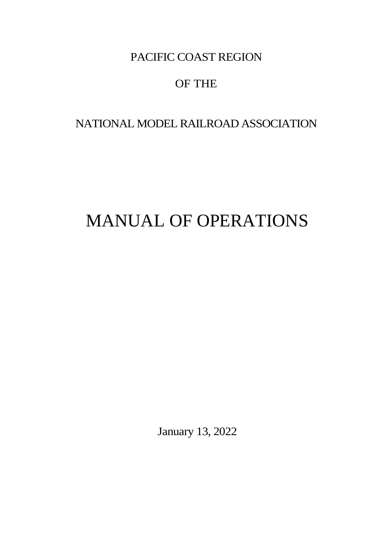# OF THE

# NATIONAL MODEL RAILROAD ASSOCIATION

# MANUAL OF OPERATIONS

January 13, 2022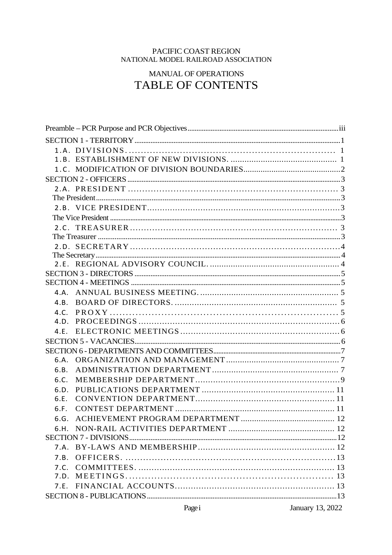# PACIFIC COAST REGION<br>NATIONAL MODEL RAILROAD ASSOCIATION

# MANUAL OF OPERATIONS TABLE OF CONTENTS

| 4.B. |  |  |  |  |
|------|--|--|--|--|
|      |  |  |  |  |
|      |  |  |  |  |
|      |  |  |  |  |
|      |  |  |  |  |
|      |  |  |  |  |
| 6.A. |  |  |  |  |
| 6.B. |  |  |  |  |
| 6.C. |  |  |  |  |
| 6.D. |  |  |  |  |
| 6.E. |  |  |  |  |
| 6.F. |  |  |  |  |
| 6.G. |  |  |  |  |
|      |  |  |  |  |
|      |  |  |  |  |
|      |  |  |  |  |
| 7.B. |  |  |  |  |
|      |  |  |  |  |
| 7.D. |  |  |  |  |
|      |  |  |  |  |
|      |  |  |  |  |

January 13, 2022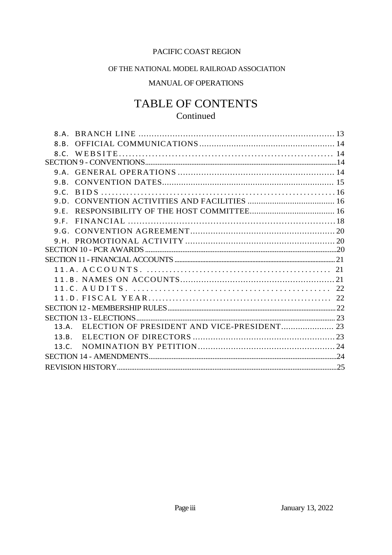# OF THE NATIONAL MODEL RAILROAD ASSOCIATION

# MANUAL OF OPERATIONS

# TABLE OF CONTENTS Continued

| $\mathsf{R}$ $\mathsf{A}$ |                                                |  |  |
|---------------------------|------------------------------------------------|--|--|
| 8.8                       |                                                |  |  |
|                           |                                                |  |  |
|                           |                                                |  |  |
| 9.A                       |                                                |  |  |
| 9.8.                      |                                                |  |  |
| 9.C.                      |                                                |  |  |
| 9. D.                     |                                                |  |  |
| 9.F.                      |                                                |  |  |
|                           |                                                |  |  |
|                           |                                                |  |  |
|                           |                                                |  |  |
|                           |                                                |  |  |
|                           |                                                |  |  |
|                           |                                                |  |  |
|                           |                                                |  |  |
|                           |                                                |  |  |
|                           |                                                |  |  |
|                           |                                                |  |  |
|                           |                                                |  |  |
|                           | 13.A. ELECTION OF PRESIDENT AND VICE-PRESIDENT |  |  |
| 13.R.                     |                                                |  |  |
| 13.C.                     |                                                |  |  |
|                           |                                                |  |  |
|                           |                                                |  |  |
|                           |                                                |  |  |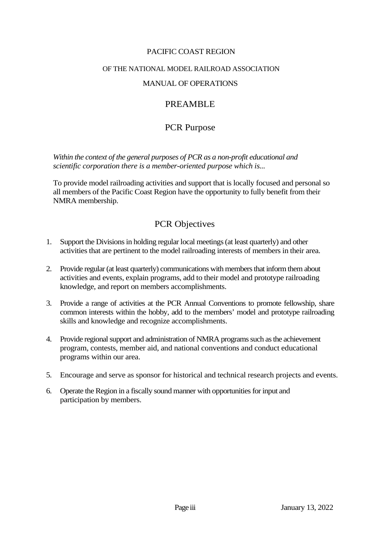#### OF THE NATIONAL MODEL RAILROAD ASSOCIATION

# MANUAL OF OPERATIONS

# PREAMBLE

# PCR Purpose

*Within the context of the general purposes of PCR as a non-profit educational and scientific corporation there is a member-oriented purpose which is...*

To provide model railroading activities and support that is locally focused and personal so all members of the Pacific Coast Region have the opportunity to fully benefit from their NMRA membership.

# PCR Objectives

- 1. Support the Divisions in holding regular local meetings (at least quarterly) and other activities that are pertinent to the model railroading interests of members in their area.
- 2. Provide regular (at least quarterly) communications with members that inform them about activities and events, explain programs, add to their model and prototype railroading knowledge, and report on members accomplishments.
- 3. Provide a range of activities at the PCR Annual Conventions to promote fellowship, share common interests within the hobby, add to the members' model and prototype railroading skills and knowledge and recognize accomplishments.
- 4. Provide regional support and administration of NMRA programs such as the achievement program, contests, member aid, and national conventions and conduct educational programs within our area.
- 5. Encourage and serve as sponsor for historical and technical research projects and events.
- 6. Operate the Region in a fiscally sound manner with opportunities for input and participation by members.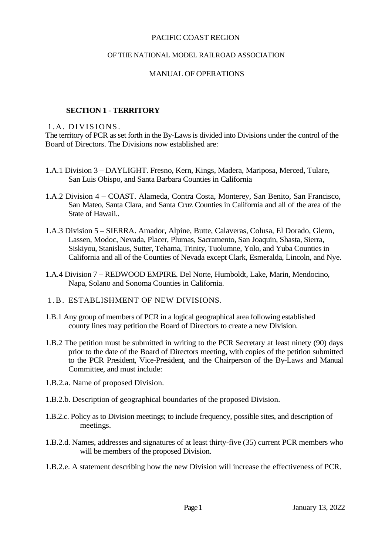#### OF THE NATIONAL MODEL RAILROAD ASSOCIATION

#### MANUAL OF OPERATIONS

#### **SECTION 1 - TERRITORY**

#### 1.A. DIVISIONS.

The territory of PCR as set forth in the By-Laws is divided into Divisions under the control of the Board of Directors. The Divisions now established are:

- 1.A.1 Division 3 DAYLIGHT. Fresno, Kern, Kings, Madera, Mariposa, Merced, Tulare, San Luis Obispo, and Santa Barbara Counties in California
- 1.A.2 Division 4 COAST. Alameda, Contra Costa, Monterey, San Benito, San Francisco, San Mateo, Santa Clara, and Santa Cruz Counties in California and all of the area of the State of Hawaii..
- 1.A.3 Division 5 SIERRA. Amador, Alpine, Butte, Calaveras, Colusa, El Dorado, Glenn, Lassen, Modoc, Nevada, Placer, Plumas, Sacramento, San Joaquin, Shasta, Sierra, Siskiyou, Stanislaus, Sutter, Tehama, Trinity, Tuolumne, Yolo, and Yuba Counties in California and all of the Counties of Nevada except Clark, Esmeralda, Lincoln, and Nye.
- 1.A.4 Division 7 REDWOOD EMPIRE. Del Norte, Humboldt, Lake, Marin, Mendocino, Napa, Solano and Sonoma Counties in California.
- 1 . B. ESTABLISHMENT OF NEW DIVISIONS.
- 1.B.1 Any group of members of PCR in a logical geographical area following established county lines may petition the Board of Directors to create a new Division.
- 1.B.2 The petition must be submitted in writing to the PCR Secretary at least ninety (90) days prior to the date of the Board of Directors meeting, with copies of the petition submitted to the PCR President, Vice-President, and the Chairperson of the By-Laws and Manual Committee, and must include:
- 1.B.2.a. Name of proposed Division.
- 1.B.2.b. Description of geographical boundaries of the proposed Division.
- 1.B.2.c. Policy as to Division meetings; to include frequency, possible sites, and description of meetings.
- 1.B.2.d. Names, addresses and signatures of at least thirty-five (35) current PCR members who will be members of the proposed Division.
- 1.B.2.e. A statement describing how the new Division will increase the effectiveness of PCR.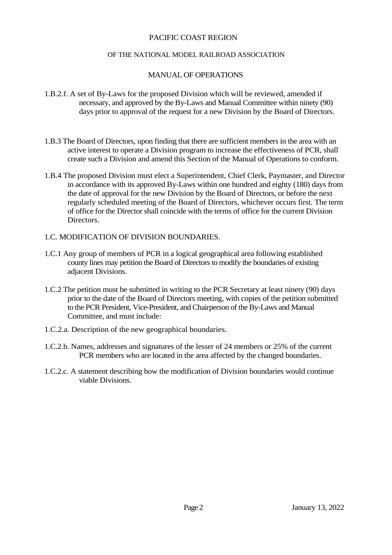#### OF THE NATIONAL MODEL RAILROAD ASSOCIATION

#### MANUAL OF OPERATIONS

- 1.B.2.f. A set of By-Laws for the proposed Division which will be reviewed, amended if necessary, and approved by the By-Laws and Manual Committee within ninety (90) days prior to approval of the request for a new Division by the Board of Directors.
- 1.B.3 The Board of Directors, upon finding that there are sufficient members in the area with an active interest to operate a Division program to increase the effectiveness of PCR, shall create such a Division and amend this Section of the Manual of Operations to conform.
- 1.B.4 The proposed Division must elect a Superintendent, Chief Clerk, Paymaster, and Director in accordance with its approved By-Laws within one hundred and eighty (180) days from the date of approval for the new Division by the Board of Directors, or before the next regularly scheduled meeting of the Board of Directors, whichever occurs first. The term of office for the Director shall coincide with the terms of office for the current Division Directors.
- 1.C. MODIFICATION OF DIVISION BOUNDARIES.
- 1.C.1 Any group of members of PCR in a logical geographical area following established county lines may petition the Board of Directors to modify the boundaries of existing adiacent Divisions.
- 1.C.2 The petition must be submitted in writing to the PCR Secretary at least ninety (90) days prior to the date of the Board of Directors meeting, with copies of the petition submitted to the PCR President, Vice-President, and Chairperson of the By-Laws and Manual Committee, and must include:
- 1.C.2.a. Description of the new geographical boundaries.
- 1.C.2.b. Names, addresses and signatures of the lesser of 24 members or 25% of the current PCR members who are located in the area affected by the changed boundaries.
- 1.C.2.c. A statement describing how the modification of Division boundaries would continue viable Divisions.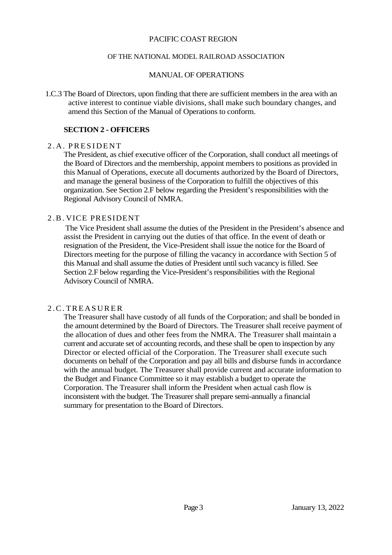#### OF THE NATIONAL MODEL RAILROAD ASSOCIATION

#### MANUAL OF OPERATIONS

1.C.3 The Board of Directors, upon finding that there are sufficient members in the area with an active interest to continue viable divisions, shall make such boundary changes, and amend this Section of the Manual of Operations to conform.

#### **SECTION 2 - OFFICERS**

#### 2.A. PRESIDENT

The President, as chief executive officer of the Corporation, shall conduct all meetings of the Board of Directors and the membership, appoint members to positions as provided in this Manual of Operations, execute all documents authorized by the Board of Directors, and manage the general business of the Corporation to fulfill the objectives of this organization. See Section 2.F below regarding the President's responsibilities with the Regional Advisory Council of NMRA.

#### 2 . B . VICE PRESIDENT

The Vice President shall assume the duties of the President in the President's absence and assist the President in carrying out the duties of that office. In the event of death or resignation of the President, the Vice-President shall issue the notice for the Board of Directors meeting for the purpose of filling the vacancy in accordance with Section 5 of this Manual and shall assume the duties of President until such vacancy is filled. See Section 2.F below regarding the Vice-President's responsibilities with the Regional Advisory Council of NMRA.

#### 2 . C . T R E A S U R E R

The Treasurer shall have custody of all funds of the Corporation; and shall be bonded in the amount determined by the Board of Directors. The Treasurer shall receive payment of the allocation of dues and other fees from the NMRA. The Treasurer shall maintain a current and accurate set of accounting records, and these shall be open to inspection by any Director or elected official of the Corporation. The Treasurer shall execute such documents on behalf of the Corporation and pay all bills and disburse funds in accordance with the annual budget. The Treasurer shall provide current and accurate information to the Budget and Finance Committee so it may establish a budget to operate the Corporation. The Treasurer shall inform the President when actual cash flow is inconsistent with the budget. The Treasurer shall prepare semi-annually a financial summary for presentation to the Board of Directors.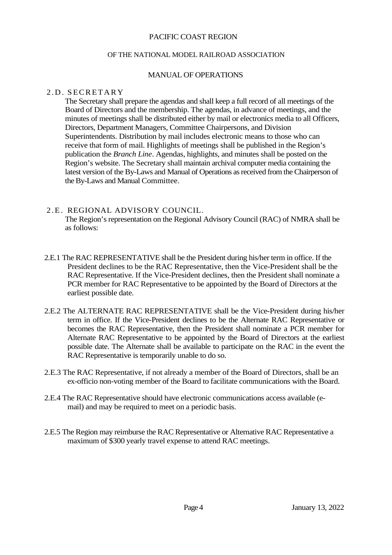#### OF THE NATIONAL MODEL RAILROAD ASSOCIATION

#### MANUAL OF OPERATIONS

#### 2.D. SECRETARY

The Secretary shall prepare the agendas and shall keep a full record of all meetings of the Board of Directors and the membership. The agendas, in advance of meetings, and the minutes of meetings shall be distributed either by mail or electronics media to all Officers, Directors, Department Managers, Committee Chairpersons, and Division Superintendents. Distribution by mail includes electronic means to those who can receive that form of mail. Highlights of meetings shall be published in the Region's publication the *Branch Line*. Agendas, highlights, and minutes shall be posted on the Region's website. The Secretary shall maintain archival computer media containing the latest version of the By-Laws and Manual of Operations as received from the Chairperson of the By-Laws and Manual Committee.

#### 2.E. REGIONAL ADVISORY COUNCIL.

The Region's representation on the Regional Advisory Council (RAC) of NMRA shall be as follows:

- 2.E.1 The RAC REPRESENTATIVE shall be the President during his/her term in office. If the President declines to be the RAC Representative, then the Vice-President shall be the RAC Representative. If the Vice-President declines, then the President shall nominate a PCR member for RAC Representative to be appointed by the Board of Directors at the earliest possible date.
- 2.E.2 The ALTERNATE RAC REPRESENTATIVE shall be the Vice-President during his/her term in office. If the Vice-President declines to be the Alternate RAC Representative or becomes the RAC Representative, then the President shall nominate a PCR member for Alternate RAC Representative to be appointed by the Board of Directors at the earliest possible date. The Alternate shall be available to participate on the RAC in the event the RAC Representative is temporarily unable to do so.
- 2.E.3 The RAC Representative, if not already a member of the Board of Directors, shall be an ex-officio non-voting member of the Board to facilitate communications with the Board.
- 2.E.4 The RAC Representative should have electronic communications access available (email) and may be required to meet on a periodic basis.
- 2.E.5 The Region may reimburse the RAC Representative or Alternative RAC Representative a maximum of \$300 yearly travel expense to attend RAC meetings.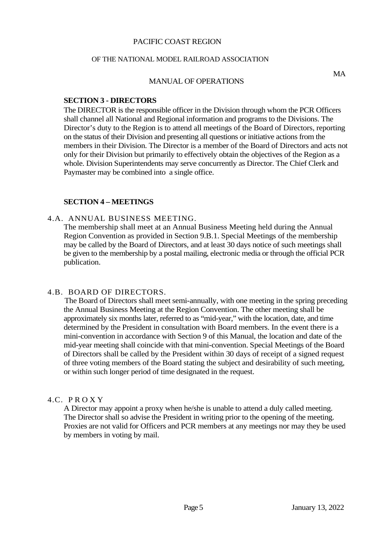#### OF THE NATIONAL MODEL RAILROAD ASSOCIATION

#### MANUAL OF OPERATIONS

MA

#### **SECTION 3 - DIRECTORS**

The DIRECTOR is the responsible officer in the Division through whom the PCR Officers shall channel all National and Regional information and programs to the Divisions. The Director's duty to the Region is to attend all meetings of the Board of Directors, reporting on the status of their Division and presenting all questions or initiative actions from the members in their Division. The Director is a member of the Board of Directors and acts not only for their Division but primarily to effectively obtain the objectives of the Region as a whole. Division Superintendents may serve concurrently as Director. The Chief Clerk and Paymaster may be combined into a single office.

#### **SECTION 4 – MEETINGS**

#### 4.A. ANNUAL BUSINESS MEETING.

The membership shall meet at an Annual Business Meeting held during the Annual Region Convention as provided in Section 9.B.1. Special Meetings of the membership may be called by the Board of Directors, and at least 30 days notice of such meetings shall be given to the membership by a postal mailing, electronic media or through the official PCR publication.

#### 4.B. BOARD OF DIRECTORS.

The Board of Directors shall meet semi-annually, with one meeting in the spring preceding the Annual Business Meeting at the Region Convention. The other meeting shall be approximately six months later, referred to as "mid-year," with the location, date, and time determined by the President in consultation with Board members. In the event there is a mini-convention in accordance with Section 9 of this Manual, the location and date of the mid-year meeting shall coincide with that mini-convention. Special Meetings of the Board of Directors shall be called by the President within 30 days of receipt of a signed request of three voting members of the Board stating the subject and desirability of such meeting, or within such longer period of time designated in the request.

#### 4.C. P R O X Y

A Director may appoint a proxy when he/she is unable to attend a duly called meeting. The Director shall so advise the President in writing prior to the opening of the meeting. Proxies are not valid for Officers and PCR members at any meetings nor may they be used by members in voting by mail.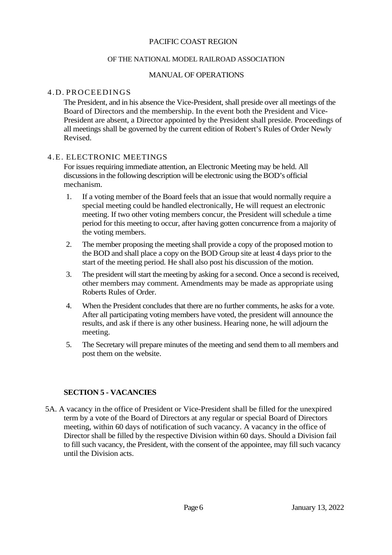#### OF THE NATIONAL MODEL RAILROAD ASSOCIATION

#### MANUAL OF OPERATIONS

#### 4.D. PROCEEDINGS

The President, and in his absence the Vice-President, shall preside over all meetings of the Board of Directors and the membership. In the event both the President and Vice-President are absent, a Director appointed by the President shall preside. Proceedings of all meetings shall be governed by the current edition of Robert's Rules of Order Newly Revised.

#### 4.E. ELECTRONIC MEETINGS

For issues requiring immediate attention, an Electronic Meeting may be held. All discussions in the following description will be electronic using the BOD's official mechanism.

- 1. If a voting member of the Board feels that an issue that would normally require a special meeting could be handled electronically, He will request an electronic meeting. If two other voting members concur, the President will schedule a time period for this meeting to occur, after having gotten concurrence from a majority of the voting members.
- 2. The member proposing the meeting shall provide a copy of the proposed motion to the BOD and shall place a copy on the BOD Group site at least 4 days prior to the start of the meeting period. He shall also post his discussion of the motion.
- 3. The president will start the meeting by asking for a second. Once a second is received, other members may comment. Amendments may be made as appropriate using Roberts Rules of Order.
- 4. When the President concludes that there are no further comments, he asks for a vote. After all participating voting members have voted, the president will announce the results, and ask if there is any other business. Hearing none, he will adjourn the meeting.
- 5. The Secretary will prepare minutes of the meeting and send them to all members and post them on the website.

#### **SECTION 5 - VACANCIES**

5A. A vacancy in the office of President or Vice-President shall be filled for the unexpired term by a vote of the Board of Directors at any regular or special Board of Directors meeting, within 60 days of notification of such vacancy. A vacancy in the office of Director shall be filled by the respective Division within 60 days. Should a Division fail to fill such vacancy, the President, with the consent of the appointee, may fill such vacancy until the Division acts.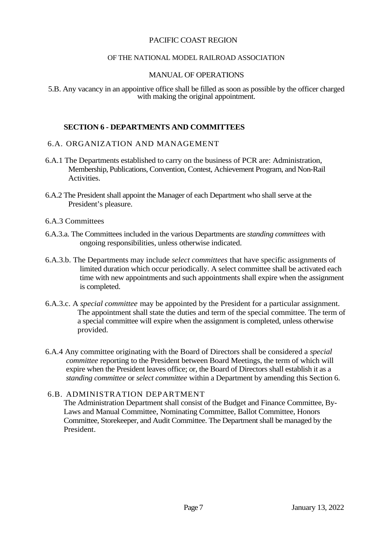#### OF THE NATIONAL MODEL RAILROAD ASSOCIATION

#### MANUAL OF OPERATIONS

5.B. Any vacancy in an appointive office shall be filled as soon as possible by the officer charged with making the original appointment.

#### **SECTION 6 - DEPARTMENTS AND COMMITTEES**

#### 6.A. ORGANIZATION AND MANAGEMENT

- 6.A.1 The Departments established to carry on the business of PCR are: Administration, Membership, Publications, Convention, Contest, Achievement Program, and Non-Rail Activities.
- 6.A.2 The President shall appoint the Manager of each Department who shall serve at the President's pleasure.

#### 6.A.3 Committees

- 6.A.3.a. The Committees included in the various Departments are *standing committees* with ongoing responsibilities, unless otherwise indicated.
- 6.A.3.b. The Departments may include *select committees* that have specific assignments of limited duration which occur periodically. A select committee shall be activated each time with new appointments and such appointments shall expire when the assignment is completed.
- 6.A.3.c. A *special committee* may be appointed by the President for a particular assignment. The appointment shall state the duties and term of the special committee. The term of a special committee will expire when the assignment is completed, unless otherwise provided.
- 6.A.4 Any committee originating with the Board of Directors shall be considered a *special committee* reporting to the President between Board Meetings, the term of which will expire when the President leaves office; or, the Board of Directors shall establish it as a *standing committee* or *select committee* within a Department by amending this Section 6.

#### 6.B. ADMINISTRATION DEPARTMENT

The Administration Department shall consist of the Budget and Finance Committee, By-Laws and Manual Committee, Nominating Committee, Ballot Committee, Honors Committee, Storekeeper, and Audit Committee. The Department shall be managed by the President.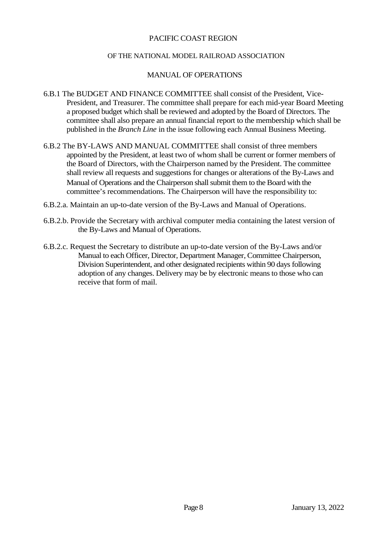#### OF THE NATIONAL MODEL RAILROAD ASSOCIATION

#### MANUAL OF OPERATIONS

- 6.B.1 The BUDGET AND FINANCE COMMITTEE shall consist of the President, Vice-President, and Treasurer. The committee shall prepare for each mid-year Board Meeting a proposed budget which shall be reviewed and adopted by the Board of Directors. The committee shall also prepare an annual financial report to the membership which shall be published in the *Branch Line* in the issue following each Annual Business Meeting.
- 6.B.2 The BY-LAWS AND MANUAL COMMITTEE shall consist of three members appointed by the President, at least two of whom shall be current or former members of the Board of Directors, with the Chairperson named by the President. The committee shall review all requests and suggestions for changes or alterations of the By-Laws and Manual of Operations and the Chairperson shall submit them to the Board with the committee's recommendations. The Chairperson will have the responsibility to:
- 6.B.2.a. Maintain an up-to-date version of the By-Laws and Manual of Operations.
- 6.B.2.b. Provide the Secretary with archival computer media containing the latest version of the By-Laws and Manual of Operations.
- 6.B.2.c. Request the Secretary to distribute an up-to-date version of the By-Laws and/or Manual to each Officer, Director, Department Manager, Committee Chairperson, Division Superintendent, and other designated recipients within 90 days following adoption of any changes. Delivery may be by electronic means to those who can receive that form of mail.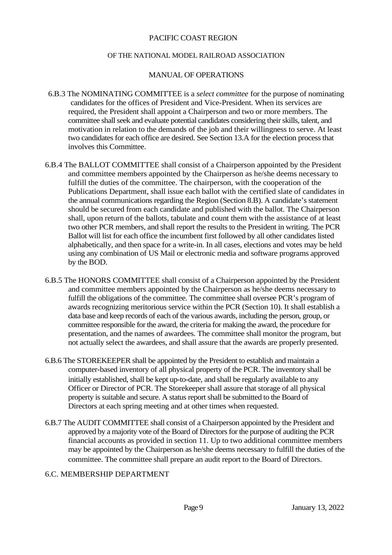#### OF THE NATIONAL MODEL RAILROAD ASSOCIATION

#### MANUAL OF OPERATIONS

- 6.B.3 The NOMINATING COMMITTEE is a *select committee* for the purpose of nominating candidates for the offices of President and Vice-President. When its services are required, the President shall appoint a Chairperson and two or more members. The committee shall seek and evaluate potential candidates considering their skills, talent, and motivation in relation to the demands of the job and their willingness to serve. At least two candidates for each office are desired. See Section 13.A for the election process that involves this Committee.
- 6.B.4 The BALLOT COMMITTEE shall consist of a Chairperson appointed by the President and committee members appointed by the Chairperson as he/she deems necessary to fulfill the duties of the committee. The chairperson, with the cooperation of the Publications Department, shall issue each ballot with the certified slate of candidates in the annual communications regarding the Region (Section 8.B). A candidate's statement should be secured from each candidate and published with the ballot. The Chairperson shall, upon return of the ballots, tabulate and count them with the assistance of at least two other PCR members, and shall report the results to the President in writing. The PCR Ballot will list for each office the incumbent first followed by all other candidates listed alphabetically, and then space for a write-in. In all cases, elections and votes may be held using any combination of US Mail or electronic media and software programs approved by the BOD.
- 6.B.5 The HONORS COMMITTEE shall consist of a Chairperson appointed by the President and committee members appointed by the Chairperson as he/she deems necessary to fulfill the obligations of the committee. The committee shall oversee PCR's program of awards recognizing meritorious service within the PCR (Section 10). It shall establish a data base and keep records of each of the various awards, including the person, group, or committee responsible for the award, the criteria for making the award, the procedure for presentation, and the names of awardees. The committee shall monitor the program, but not actually select the awardees, and shall assure that the awards are properly presented.
- 6.B.6 The STOREKEEPER shall be appointed by the President to establish and maintain a computer-based inventory of all physical property of the PCR. The inventory shall be initially established, shall be kept up-to-date, and shall be regularly available to any Officer or Director of PCR. The Storekeeper shall assure that storage of all physical property is suitable and secure. A status report shall be submitted to the Board of Directors at each spring meeting and at other times when requested.
- 6.B.7 The AUDIT COMMITTEE shall consist of a Chairperson appointed by the President and approved by a majority vote of the Board of Directors for the purpose of auditing the PCR financial accounts as provided in section 11. Up to two additional committee members may be appointed by the Chairperson as he/she deems necessary to fulfill the duties of the committee. The committee shall prepare an audit report to the Board of Directors.

#### 6.C. MEMBERSHIP DEPARTMENT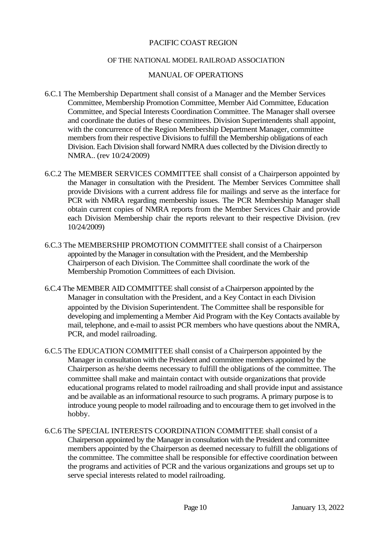#### OF THE NATIONAL MODEL RAILROAD ASSOCIATION

#### MANUAL OF OPERATIONS

- 6.C.1 The Membership Department shall consist of a Manager and the Member Services Committee, Membership Promotion Committee, Member Aid Committee, Education Committee, and Special Interests Coordination Committee. The Manager shall oversee and coordinate the duties of these committees. Division Superintendents shall appoint, with the concurrence of the Region Membership Department Manager, committee members from their respective Divisions to fulfill the Membership obligations of each Division. Each Division shall forward NMRA dues collected by the Division directly to NMRA.. (rev 10/24/2009)
- 6.C.2 The MEMBER SERVICES COMMITTEE shall consist of a Chairperson appointed by the Manager in consultation with the President. The Member Services Committee shall provide Divisions with a current address file for mailings and serve as the interface for PCR with NMRA regarding membership issues. The PCR Membership Manager shall obtain current copies of NMRA reports from the Member Services Chair and provide each Division Membership chair the reports relevant to their respective Division. (rev 10/24/2009)
- 6.C.3 The MEMBERSHIP PROMOTION COMMITTEE shall consist of a Chairperson appointed by the Manager in consultation with the President, and the Membership Chairperson of each Division. The Committee shall coordinate the work of the Membership Promotion Committees of each Division.
- 6.C.4 The MEMBER AID COMMITTEE shall consist of a Chairperson appointed by the Manager in consultation with the President, and a Key Contact in each Division appointed by the Division Superintendent. The Committee shall be responsible for developing and implementing a Member Aid Program with the Key Contacts available by mail, telephone, and e-mail to assist PCR members who have questions about the NMRA, PCR, and model railroading.
- 6.C.5 The EDUCATION COMMITTEE shall consist of a Chairperson appointed by the Manager in consultation with the President and committee members appointed by the Chairperson as he/she deems necessary to fulfill the obligations of the committee. The committee shall make and maintain contact with outside organizations that provide educational programs related to model railroading and shall provide input and assistance and be available as an informational resource to such programs. A primary purpose is to introduce young people to model railroading and to encourage them to get involved in the hobby.
- 6.C.6 The SPECIAL INTERESTS COORDINATION COMMITTEE shall consist of a Chairperson appointed by the Manager in consultation with the President and committee members appointed by the Chairperson as deemed necessary to fulfill the obligations of the committee. The committee shall be responsible for effective coordination between the programs and activities of PCR and the various organizations and groups set up to serve special interests related to model railroading.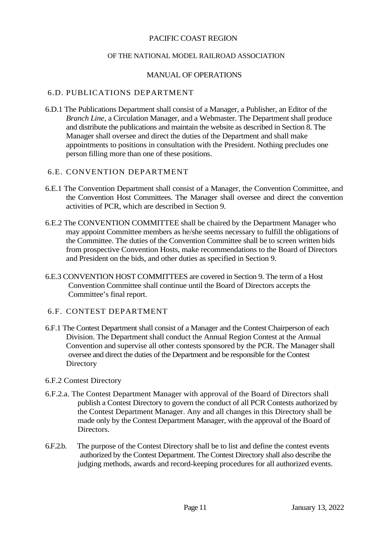#### OF THE NATIONAL MODEL RAILROAD ASSOCIATION

#### MANUAL OF OPERATIONS

#### 6.D. PUBLICATIONS DEPARTMENT

6.D.1 The Publications Department shall consist of a Manager, a Publisher, an Editor of the *Branch Line*, a Circulation Manager, and a Webmaster. The Department shall produce and distribute the publications and maintain the website as described in Section 8. The Manager shall oversee and direct the duties of the Department and shall make appointments to positions in consultation with the President. Nothing precludes one person filling more than one of these positions.

#### 6.E. CONVENTION DEPARTMENT

- 6.E.1 The Convention Department shall consist of a Manager, the Convention Committee, and the Convention Host Committees. The Manager shall oversee and direct the convention activities of PCR, which are described in Section 9.
- 6.E.2 The CONVENTION COMMITTEE shall be chaired by the Department Manager who may appoint Committee members as he/she seems necessary to fulfill the obligations of the Committee. The duties of the Convention Committee shall be to screen written bids from prospective Convention Hosts, make recommendations to the Board of Directors and President on the bids, and other duties as specified in Section 9.
- 6.E.3 CONVENTION HOST COMMITTEES are covered in Section 9. The term of a Host Convention Committee shall continue until the Board of Directors accepts the Committee's final report.
- 6.F. CONTEST DEPARTMENT
- 6.F.1 The Contest Department shall consist of a Manager and the Contest Chairperson of each Division. The Department shall conduct the Annual Region Contest at the Annual Convention and supervise all other contests sponsored by the PCR. The Manager shall oversee and direct the duties of the Department and be responsible for the Contest **Directory**
- 6.F.2 Contest Directory
- 6.F.2.a. The Contest Department Manager with approval of the Board of Directors shall publish a Contest Directory to govern the conduct of all PCR Contests authorized by the Contest Department Manager. Any and all changes in this Directory shall be made only by the Contest Department Manager, with the approval of the Board of Directors.
- 6.F.2.b. The purpose of the Contest Directory shall be to list and define the contest events authorized by the Contest Department. The Contest Directory shall also describe the judging methods, awards and record-keeping procedures for all authorized events.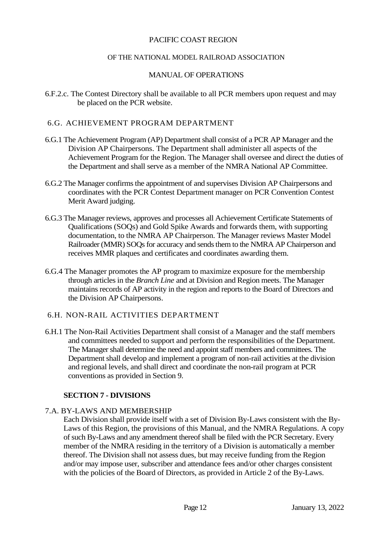#### OF THE NATIONAL MODEL RAILROAD ASSOCIATION

#### MANUAL OF OPERATIONS

6.F.2.c. The Contest Directory shall be available to all PCR members upon request and may be placed on the PCR website.

#### 6.G. ACHIEVEMENT PROGRAM DEPARTMENT

- 6.G.1 The Achievement Program (AP) Department shall consist of a PCR AP Manager and the Division AP Chairpersons. The Department shall administer all aspects of the Achievement Program for the Region. The Manager shall oversee and direct the duties of the Department and shall serve as a member of the NMRA National AP Committee.
- 6.G.2 The Manager confirms the appointment of and supervises Division AP Chairpersons and coordinates with the PCR Contest Department manager on PCR Convention Contest Merit Award judging.
- 6.G.3 The Manager reviews, approves and processes all Achievement Certificate Statements of Qualifications (SOQs) and Gold Spike Awards and forwards them, with supporting documentation, to the NMRA AP Chairperson. The Manager reviews Master Model Railroader (MMR) SOQs for accuracy and sends them to the NMRA AP Chairperson and receives MMR plaques and certificates and coordinates awarding them.
- 6.G.4 The Manager promotes the AP program to maximize exposure for the membership through articles in the *Branch Line* and at Division and Region meets. The Manager maintains records of AP activity in the region and reports to the Board of Directors and the Division AP Chairpersons.

#### 6.H. NON-RAIL ACTIVITIES DEPARTMENT

6.H.1 The Non-Rail Activities Department shall consist of a Manager and the staff members and committees needed to support and perform the responsibilities of the Department. The Manager shall determine the need and appoint staff members and committees. The Department shall develop and implement a program of non-rail activities at the division and regional levels, and shall direct and coordinate the non-rail program at PCR conventions as provided in Section 9.

## **SECTION 7 - DIVISIONS**

## 7.A. BY-LAWS AND MEMBERSHIP

Each Division shall provide itself with a set of Division By-Laws consistent with the By-Laws of this Region, the provisions of this Manual, and the NMRA Regulations. A copy of such By-Laws and any amendment thereof shall be filed with the PCR Secretary. Every member of the NMRA residing in the territory of a Division is automatically a member thereof. The Division shall not assess dues, but may receive funding from the Region and/or may impose user, subscriber and attendance fees and/or other charges consistent with the policies of the Board of Directors, as provided in Article 2 of the By-Laws.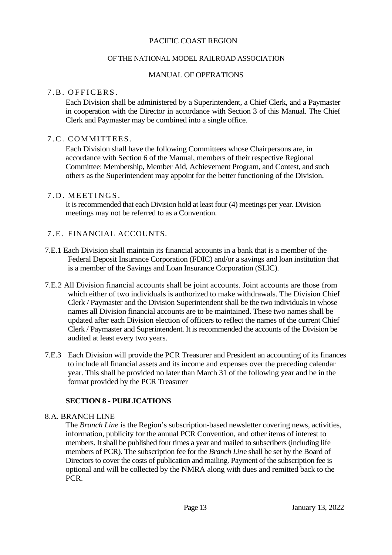#### OF THE NATIONAL MODEL RAILROAD ASSOCIATION

#### MANUAL OF OPERATIONS

# 7 B. OFFICERS.

Each Division shall be administered by a Superintendent, a Chief Clerk, and a Paymaster in cooperation with the Director in accordance with Section 3 of this Manual. The Chief Clerk and Paymaster may be combined into a single office.

#### 7 . C . COMMITTEES.

Each Division shall have the following Committees whose Chairpersons are, in accordance with Section 6 of the Manual, members of their respective Regional Committee: Membership, Member Aid, Achievement Program, and Contest, and such others as the Superintendent may appoint for the better functioning of the Division.

#### 7.D. MEETINGS.

It is recommended that each Division hold at least four (4) meetings per year. Division meetings may not be referred to as a Convention.

#### 7 . E . FINANCIAL ACCOUNTS.

- 7.E.1 Each Division shall maintain its financial accounts in a bank that is a member of the Federal Deposit Insurance Corporation (FDIC) and/or a savings and loan institution that is a member of the Savings and Loan Insurance Corporation (SLIC).
- 7.E.2 All Division financial accounts shall be joint accounts. Joint accounts are those from which either of two individuals is authorized to make withdrawals. The Division Chief Clerk / Paymaster and the Division Superintendent shall be the two individuals in whose names all Division financial accounts are to be maintained. These two names shall be updated after each Division election of officers to reflect the names of the current Chief Clerk / Paymaster and Superintendent. It is recommended the accounts of the Division be audited at least every two years.
- 7.E.3 Each Division will provide the PCR Treasurer and President an accounting of its finances to include all financial assets and its income and expenses over the preceding calendar year. This shall be provided no later than March 31 of the following year and be in the format provided by the PCR Treasurer

#### **SECTION 8 - PUBLICATIONS**

#### 8.A. BRANCH LINE

The *Branch Line* is the Region's subscription-based newsletter covering news, activities, information, publicity for the annual PCR Convention, and other items of interest to members. It shall be published four times a year and mailed to subscribers (including life members of PCR). The subscription fee for the *Branch Lin*e shall be set by the Board of Directors to cover the costs of publication and mailing. Payment of the subscription fee is optional and will be collected by the NMRA along with dues and remitted back to the PCR.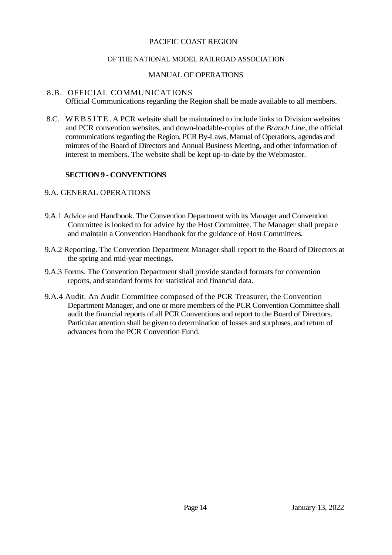#### OF THE NATIONAL MODEL RAILROAD ASSOCIATION

#### MANUAL OF OPERATIONS

#### 8.B. OFFICIAL COMMUNICATIONS

Official Communications regarding the Region shall be made available to all members.

8.C. WEB SITE. A PCR website shall be maintained to include links to Division websites and PCR convention websites, and down-loadable-copies of the *Branch Line*, the official communications regarding the Region, PCR By-Laws, Manual of Operations, agendas and minutes of the Board of Directors and Annual Business Meeting, and other information of interest to members. The website shall be kept up-to-date by the Webmaster.

#### **SECTION 9 - CONVENTIONS**

#### 9.A. GENERAL OPERATIONS

- 9.A.1 Advice and Handbook. The Convention Department with its Manager and Convention Committee is looked to for advice by the Host Committee. The Manager shall prepare and maintain a Convention Handbook for the guidance of Host Committees.
- 9.A.2 Reporting. The Convention Department Manager shall report to the Board of Directors at the spring and mid-year meetings.
- 9.A.3 Forms. The Convention Department shall provide standard formats for convention reports, and standard forms for statistical and financial data.
- 9.A.4 Audit. An Audit Committee composed of the PCR Treasurer, the Convention Department Manager, and one or more members of the PCR Convention Committee shall audit the financial reports of all PCR Conventions and report to the Board of Directors. Particular attention shall be given to determination of losses and surpluses, and return of advances from the PCR Convention Fund.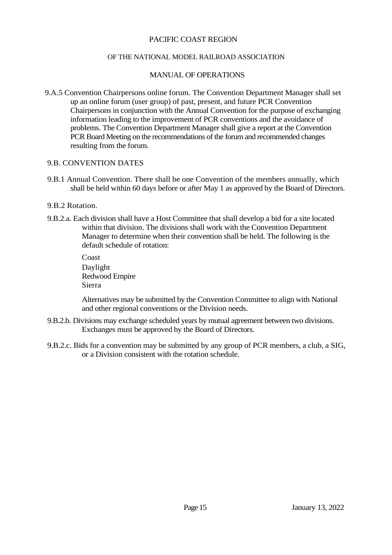#### OF THE NATIONAL MODEL RAILROAD ASSOCIATION

#### MANUAL OF OPERATIONS

9.A.5 Convention Chairpersons online forum. The Convention Department Manager shall set up an online forum (user group) of past, present, and future PCR Convention Chairpersons in conjunction with the Annual Convention for the purpose of exchanging information leading to the improvement of PCR conventions and the avoidance of problems. The Convention Department Manager shall give a report at the Convention PCR Board Meeting on the recommendations of the forum and recommended changes resulting from the forum.

#### 9.B. CONVENTION DATES

9.B.1 Annual Convention. There shall be one Convention of the members annually, which shall be held within 60 days before or after May 1 as approved by the Board of Directors.

#### 9.B.2 Rotation.

9.B.2.a. Each division shall have a Host Committee that shall develop a bid for a site located within that division. The divisions shall work with the Convention Department Manager to determine when their convention shall be held. The following is the default schedule of rotation:

> Coast Daylight Redwood Empire Sierra

Alternatives may be submitted by the Convention Committee to align with National and other regional conventions or the Division needs.

- 9.B.2.b. Divisions may exchange scheduled years by mutual agreement between two divisions. Exchanges must be approved by the Board of Directors.
- 9.B.2.c. Bids for a convention may be submitted by any group of PCR members, a club, a SIG, or a Division consistent with the rotation schedule.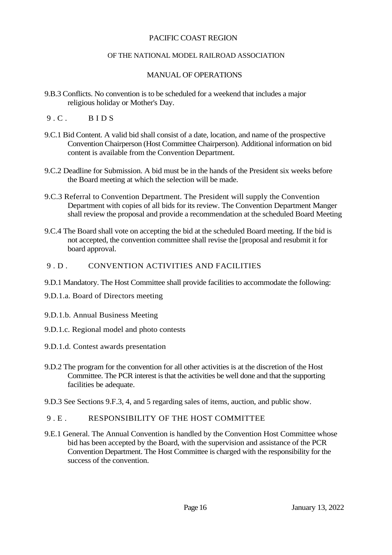#### OF THE NATIONAL MODEL RAILROAD ASSOCIATION

# MANUAL OF OPERATIONS

- 9.B.3 Conflicts. No convention is to be scheduled for a weekend that includes a major religious holiday or Mother's Day.
- $9.C.$  BIDS
- 9.C.1 Bid Content. A valid bid shall consist of a date, location, and name of the prospective Convention Chairperson (Host Committee Chairperson). Additional information on bid content is available from the Convention Department.
- 9.C.2 Deadline for Submission. A bid must be in the hands of the President six weeks before the Board meeting at which the selection will be made.
- 9.C.3 Referral to Convention Department. The President will supply the Convention Department with copies of all bids for its review. The Convention Department Manger shall review the proposal and provide a recommendation at the scheduled Board Meeting
- 9.C.4 The Board shall vote on accepting the bid at the scheduled Board meeting. If the bid is not accepted, the convention committee shall revise the [proposal and resubmit it for board approval.

## 9 D . CONVENTION ACTIVITIES AND FACILITIES

- 9.D.1 Mandatory. The Host Committee shall provide facilities to accommodate the following:
- 9.D.1.a. Board of Directors meeting
- 9.D.1.b. Annual Business Meeting
- 9.D.1.c. Regional model and photo contests
- 9.D.1.d. Contest awards presentation
- 9.D.2 The program for the convention for all other activities is at the discretion of the Host Committee. The PCR interest is that the activities be well done and that the supporting facilities be adequate.
- 9.D.3 See Sections 9.F.3, 4, and 5 regarding sales of items, auction, and public show.

# 9 . E . RESPONSIBILITY OF THE HOST COMMITTEE

9.E.1 General. The Annual Convention is handled by the Convention Host Committee whose bid has been accepted by the Board, with the supervision and assistance of the PCR Convention Department. The Host Committee is charged with the responsibility for the success of the convention.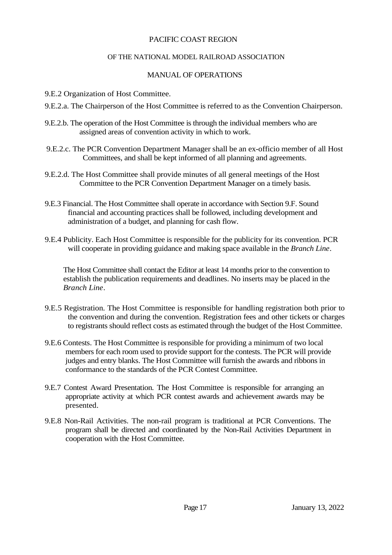#### OF THE NATIONAL MODEL RAILROAD ASSOCIATION

#### MANUAL OF OPERATIONS

- 9.E.2 Organization of Host Committee.
- 9.E.2.a. The Chairperson of the Host Committee is referred to as the Convention Chairperson.
- 9.E.2.b. The operation of the Host Committee is through the individual members who are assigned areas of convention activity in which to work.
- 9.E.2.c. The PCR Convention Department Manager shall be an ex-officio member of all Host Committees, and shall be kept informed of all planning and agreements.
- 9.E.2.d. The Host Committee shall provide minutes of all general meetings of the Host Committee to the PCR Convention Department Manager on a timely basis.
- 9.E.3 Financial. The Host Committee shall operate in accordance with Section 9.F. Sound financial and accounting practices shall be followed, including development and administration of a budget, and planning for cash flow.
- 9.E.4 Publicity. Each Host Committee is responsible for the publicity for its convention. PCR will cooperate in providing guidance and making space available in the *Branch Line*.

The Host Committee shall contact the Editor at least 14 months prior to the convention to establish the publication requirements and deadlines. No inserts may be placed in the *Branch Line*.

- 9.E.5 Registration. The Host Committee is responsible for handling registration both prior to the convention and during the convention. Registration fees and other tickets or charges to registrants should reflect costs as estimated through the budget of the Host Committee.
- 9.E.6 Contests. The Host Committee is responsible for providing a minimum of two local members for each room used to provide support for the contests. The PCR will provide judges and entry blanks. The Host Committee will furnish the awards and ribbons in conformance to the standards of the PCR Contest Committee.
- 9.E.7 Contest Award Presentation. The Host Committee is responsible for arranging an appropriate activity at which PCR contest awards and achievement awards may be presented.
- 9.E.8 Non-Rail Activities. The non-rail program is traditional at PCR Conventions. The program shall be directed and coordinated by the Non-Rail Activities Department in cooperation with the Host Committee.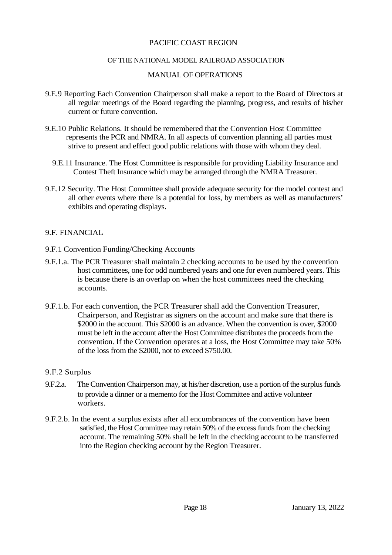#### OF THE NATIONAL MODEL RAILROAD ASSOCIATION

#### MANUAL OF OPERATIONS

- 9.E.9 Reporting Each Convention Chairperson shall make a report to the Board of Directors at all regular meetings of the Board regarding the planning, progress, and results of his/her current or future convention.
- 9.E.10 Public Relations. It should be remembered that the Convention Host Committee represents the PCR and NMRA. In all aspects of convention planning all parties must strive to present and effect good public relations with those with whom they deal.
	- 9.E.11 Insurance. The Host Committee is responsible for providing Liability Insurance and Contest Theft Insurance which may be arranged through the NMRA Treasurer.
- 9.E.12 Security. The Host Committee shall provide adequate security for the model contest and all other events where there is a potential for loss, by members as well as manufacturers' exhibits and operating displays.

#### 9.F. FINANCIAL

- 9.F.1 Convention Funding/Checking Accounts
- 9.F.1.a. The PCR Treasurer shall maintain 2 checking accounts to be used by the convention host committees, one for odd numbered years and one for even numbered years. This is because there is an overlap on when the host committees need the checking accounts.
- 9.F.1.b. For each convention, the PCR Treasurer shall add the Convention Treasurer, Chairperson, and Registrar as signers on the account and make sure that there is \$2000 in the account. This \$2000 is an advance. When the convention is over, \$2000 must be left in the account after the Host Committee distributes the proceeds from the convention. If the Convention operates at a loss, the Host Committee may take 50% of the loss from the \$2000, not to exceed \$750.00.

#### 9.F.2 Surplus

- 9.F.2.a. The Convention Chairperson may, at his/her discretion, use a portion of the surplus funds to provide a dinner or a memento for the Host Committee and active volunteer workers.
- 9.F.2.b. In the event a surplus exists after all encumbrances of the convention have been satisfied, the Host Committee may retain 50% of the excess funds from the checking account. The remaining 50% shall be left in the checking account to be transferred into the Region checking account by the Region Treasurer.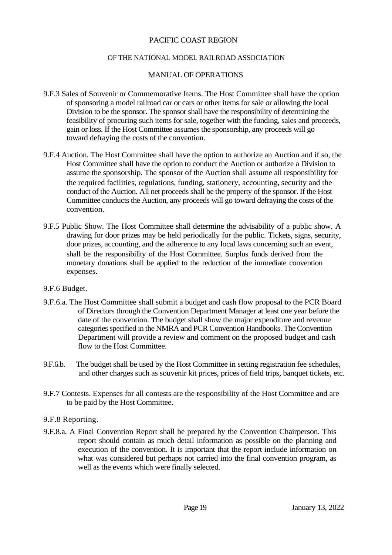#### OF THE NATIONAL MODEL RAILROAD ASSOCIATION

#### MANUAL OF OPERATIONS

- 9.F.3 Sales of Souvenir or Commemorative Items. The Host Committee shall have the option of sponsoring a model railroad car or cars or other items for sale or allowing the local Division to be the sponsor. The sponsor shall have the responsibility of determining the feasibility of procuring such items for sale, together with the funding, sales and proceeds, gain or loss. If the Host Committee assumes the sponsorship, any proceeds will go toward defraying the costs of the convention.
- 9.F.4 Auction. The Host Committee shall have the option to authorize an Auction and if so, the Host Committee shall have the option to conduct the Auction or authorize a Division to assume the sponsorship. The sponsor of the Auction shall assume all responsibility for the required facilities, regulations, funding, stationery, accounting, security and the conduct of the Auction. All net proceeds shall be the property of the sponsor. If the Host Committee conducts the Auction, any proceeds will go toward defraying the costs of the convention.
- 9.F.5 Public Show. The Host Committee shall determine the advisability of a public show. A drawing for door prizes may be held periodically for the public. Tickets, signs, security, door prizes, accounting, and the adherence to any local laws concerning such an event, shall be the responsibility of the Host Committee. Surplus funds derived from the monetary donations shall be applied to the reduction of the immediate convention expenses.

#### 9.F.6 Budget.

- 9.F.6.a. The Host Committee shall submit a budget and cash flow proposal to the PCR Board of Directors through the Convention Department Manager at least one year before the date of the convention. The budget shall show the major expenditure and revenue categories specified in the NMRA and PCR Convention Handbooks. The Convention Department will provide a review and comment on the proposed budget and cash flow to the Host Committee.
- 9.F.6.b. The budget shall be used by the Host Committee in setting registration fee schedules, and other charges such as souvenir kit prices, prices of field trips, banquet tickets, etc.
- 9.F.7 Contests. Expenses for all contests are the responsibility of the Host Committee and are to be paid by the Host Committee.

#### 9.F.8 Reporting.

9.F.8.a. A Final Convention Report shall be prepared by the Convention Chairperson. This report should contain as much detail information as possible on the planning and execution of the convention. It is important that the report include information on what was considered but perhaps not carried into the final convention program, as well as the events which were finally selected.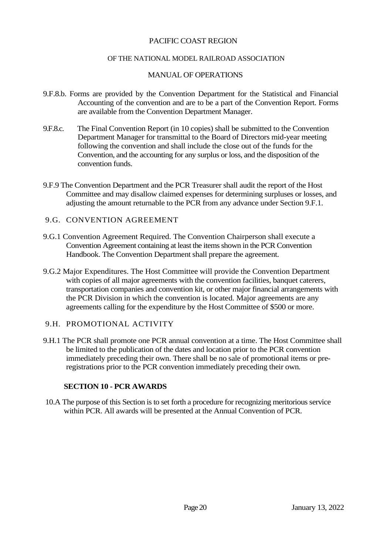#### OF THE NATIONAL MODEL RAILROAD ASSOCIATION

#### MANUAL OF OPERATIONS

- 9.F.8.b. Forms are provided by the Convention Department for the Statistical and Financial Accounting of the convention and are to be a part of the Convention Report. Forms are available from the Convention Department Manager.
- 9.F.8.c. The Final Convention Report (in 10 copies) shall be submitted to the Convention Department Manager for transmittal to the Board of Directors mid-year meeting following the convention and shall include the close out of the funds for the Convention, and the accounting for any surplus or loss, and the disposition of the convention funds.
- 9.F.9 The Convention Department and the PCR Treasurer shall audit the report of the Host Committee and may disallow claimed expenses for determining surpluses or losses, and adjusting the amount returnable to the PCR from any advance under Section 9.F.1.

#### 9.G. CONVENTION AGREEMENT

- 9.G.1 Convention Agreement Required. The Convention Chairperson shall execute a Convention Agreement containing at least the items shown in the PCR Convention Handbook. The Convention Department shall prepare the agreement.
- 9.G.2 Major Expenditures. The Host Committee will provide the Convention Department with copies of all major agreements with the convention facilities, banquet caterers, transportation companies and convention kit, or other major financial arrangements with the PCR Division in which the convention is located. Major agreements are any agreements calling for the expenditure by the Host Committee of \$500 or more.

#### 9.H. PROMOTIONAL ACTIVITY

9.H.1 The PCR shall promote one PCR annual convention at a time. The Host Committee shall be limited to the publication of the dates and location prior to the PCR convention immediately preceding their own. There shall be no sale of promotional items or preregistrations prior to the PCR convention immediately preceding their own.

## **SECTION 10 - PCR AWARDS**

10.A The purpose of this Section is to set forth a procedure for recognizing meritorious service within PCR. All awards will be presented at the Annual Convention of PCR.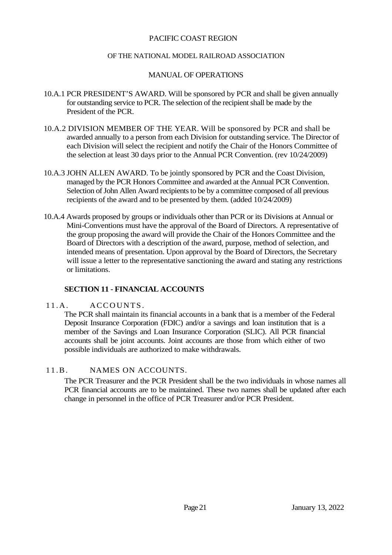#### OF THE NATIONAL MODEL RAILROAD ASSOCIATION

#### MANUAL OF OPERATIONS

- 10.A.1 PCR PRESIDENT'S AWARD. Will be sponsored by PCR and shall be given annually for outstanding service to PCR. The selection of the recipient shall be made by the President of the PCR.
- 10.A.2 DIVISION MEMBER OF THE YEAR. Will be sponsored by PCR and shall be awarded annually to a person from each Division for outstanding service. The Director of each Division will select the recipient and notify the Chair of the Honors Committee of the selection at least 30 days prior to the Annual PCR Convention. (rev 10/24/2009)
- 10.A.3 JOHN ALLEN AWARD. To be jointly sponsored by PCR and the Coast Division, managed by the PCR Honors Committee and awarded at the Annual PCR Convention. Selection of John Allen Award recipients to be by a committee composed of all previous recipients of the award and to be presented by them. (added 10/24/2009)
- 10.A.4 Awards proposed by groups or individuals other than PCR or its Divisions at Annual or Mini-Conventions must have the approval of the Board of Directors. A representative of the group proposing the award will provide the Chair of the Honors Committee and the Board of Directors with a description of the award, purpose, method of selection, and intended means of presentation. Upon approval by the Board of Directors, the Secretary will issue a letter to the representative sanctioning the award and stating any restrictions or limitations.

#### **SECTION 11 - FINANCIAL ACCOUNTS**

#### 11.A. ACCOUNTS.

The PCR shall maintain its financial accounts in a bank that is a member of the Federal Deposit Insurance Corporation (FDIC) and/or a savings and loan institution that is a member of the Savings and Loan Insurance Corporation (SLIC). All PCR financial accounts shall be joint accounts. Joint accounts are those from which either of two possible individuals are authorized to make withdrawals.

#### 11.B . NAMES ON ACCOUNTS.

The PCR Treasurer and the PCR President shall be the two individuals in whose names all PCR financial accounts are to be maintained. These two names shall be updated after each change in personnel in the office of PCR Treasurer and/or PCR President.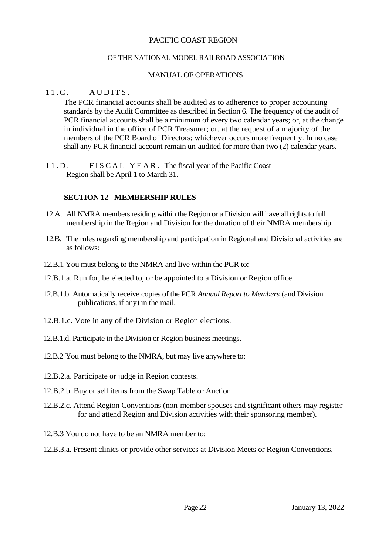#### OF THE NATIONAL MODEL RAILROAD ASSOCIATION

#### MANUAL OF OPERATIONS

#### $11 \, C$   $\phantom{00}$   $\phantom{0}$   $\phantom{0}$   $\phantom{0}$   $\phantom{0}$   $\phantom{0}$   $\phantom{0}$   $\phantom{0}$   $\phantom{0}$   $\phantom{0}$   $\phantom{0}$   $\phantom{0}$   $\phantom{0}$   $\phantom{0}$   $\phantom{0}$   $\phantom{0}$   $\phantom{0}$   $\phantom{0}$   $\phantom{0}$   $\phantom{0}$   $\phantom{0}$   $\phantom{0}$   $\phantom{0}$   $\phantom{$

The PCR financial accounts shall be audited as to adherence to proper accounting standards by the Audit Committee as described in Section 6. The frequency of the audit of PCR financial accounts shall be a minimum of every two calendar years; or, at the change in individual in the office of PCR Treasurer; or, at the request of a majority of the members of the PCR Board of Directors; whichever occurs more frequently. In no case shall any PCR financial account remain un-audited for more than two (2) calendar years.

11.D. FISCAL YEAR. The fiscal year of the Pacific Coast Region shall be April 1 to March 31.

#### **SECTION 12 - MEMBERSHIP RULES**

- 12.A. All NMRA members residing within the Region or a Division will have all rights to full membership in the Region and Division for the duration of their NMRA membership.
- 12.B. The rules regarding membership and participation in Regional and Divisional activities are as follows:
- 12.B.1 You must belong to the NMRA and live within the PCR to:
- 12.B.1.a. Run for, be elected to, or be appointed to a Division or Region office.
- 12.B.1.b. Automatically receive copies of the PCR *Annual Report to Members* (and Division publications, if any) in the mail.
- 12.B.1.c. Vote in any of the Division or Region elections.
- 12.B.1.d. Participate in the Division or Region business meetings.
- 12.B.2 You must belong to the NMRA, but may live anywhere to:
- 12.B.2.a. Participate or judge in Region contests.
- 12.B.2.b. Buy or sell items from the Swap Table or Auction.
- 12.B.2.c. Attend Region Conventions (non-member spouses and significant others may register for and attend Region and Division activities with their sponsoring member).
- 12.B.3 You do not have to be an NMRA member to:
- 12.B.3.a. Present clinics or provide other services at Division Meets or Region Conventions.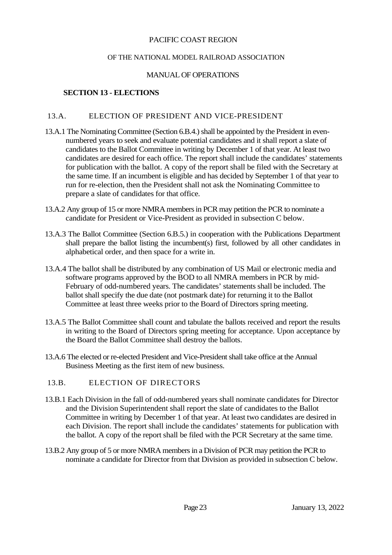#### OF THE NATIONAL MODEL RAILROAD ASSOCIATION

#### MANUAL OF OPERATIONS

#### **SECTION 13 - ELECTIONS**

#### 13.A. ELECTION OF PRESIDENT AND VICE-PRESIDENT

- 13.A.1 The Nominating Committee (Section 6.B.4.) shall be appointed by the President in evennumbered years to seek and evaluate potential candidates and it shall report a slate of candidates to the Ballot Committee in writing by December 1 of that year. At least two candidates are desired for each office. The report shall include the candidates' statements for publication with the ballot. A copy of the report shall be filed with the Secretary at the same time. If an incumbent is eligible and has decided by September 1 of that year to run for re-election, then the President shall not ask the Nominating Committee to prepare a slate of candidates for that office.
- 13.A.2 Any group of 15 or more NMRA members in PCR may petition the PCR to nominate a candidate for President or Vice-President as provided in subsection C below.
- 13.A.3 The Ballot Committee (Section 6.B.5.) in cooperation with the Publications Department shall prepare the ballot listing the incumbent(s) first, followed by all other candidates in alphabetical order, and then space for a write in.
- 13.A.4 The ballot shall be distributed by any combination of US Mail or electronic media and software programs approved by the BOD to all NMRA members in PCR by mid-February of odd-numbered years. The candidates' statements shall be included. The ballot shall specify the due date (not postmark date) for returning it to the Ballot Committee at least three weeks prior to the Board of Directors spring meeting.
- 13.A.5 The Ballot Committee shall count and tabulate the ballots received and report the results in writing to the Board of Directors spring meeting for acceptance. Upon acceptance by the Board the Ballot Committee shall destroy the ballots.
- 13.A.6 The elected or re-elected President and Vice-President shall take office at the Annual Business Meeting as the first item of new business.

#### 13.B. ELECTION OF DIRECTORS

- 13.B.1 Each Division in the fall of odd-numbered years shall nominate candidates for Director and the Division Superintendent shall report the slate of candidates to the Ballot Committee in writing by December 1 of that year. At least two candidates are desired in each Division. The report shall include the candidates' statements for publication with the ballot. A copy of the report shall be filed with the PCR Secretary at the same time.
- 13.B.2 Any group of 5 or more NMRA members in a Division of PCR may petition the PCR to nominate a candidate for Director from that Division as provided in subsection C below.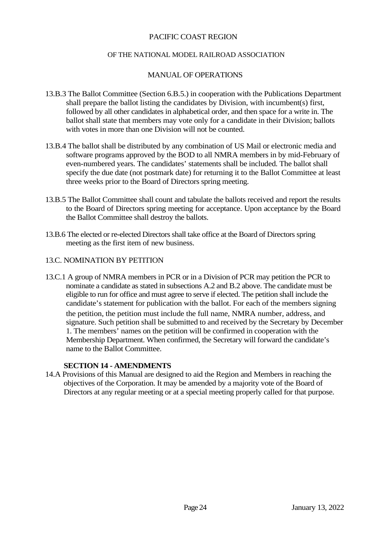#### OF THE NATIONAL MODEL RAILROAD ASSOCIATION

#### MANUAL OF OPERATIONS

- 13.B.3 The Ballot Committee (Section 6.B.5.) in cooperation with the Publications Department shall prepare the ballot listing the candidates by Division, with incumbent(s) first, followed by all other candidates in alphabetical order, and then space for a write in. The ballot shall state that members may vote only for a candidate in their Division; ballots with votes in more than one Division will not be counted.
- 13.B.4 The ballot shall be distributed by any combination of US Mail or electronic media and software programs approved by the BOD to all NMRA members in by mid-February of even-numbered years. The candidates' statements shall be included. The ballot shall specify the due date (not postmark date) for returning it to the Ballot Committee at least three weeks prior to the Board of Directors spring meeting.
- 13.B.5 The Ballot Committee shall count and tabulate the ballots received and report the results to the Board of Directors spring meeting for acceptance. Upon acceptance by the Board the Ballot Committee shall destroy the ballots.
- 13.B.6 The elected or re-elected Directors shall take office at the Board of Directors spring meeting as the first item of new business.

#### 13.C. NOMINATION BY PETITION

13.C.1 A group of NMRA members in PCR or in a Division of PCR may petition the PCR to nominate a candidate as stated in subsections A.2 and B.2 above. The candidate must be eligible to run for office and must agree to serve if elected. The petition shall include the candidate's statement for publication with the ballot. For each of the members signing the petition, the petition must include the full name, NMRA number, address, and signature. Such petition shall be submitted to and received by the Secretary by December 1. The members' names on the petition will be confirmed in cooperation with the Membership Department. When confirmed, the Secretary will forward the candidate's name to the Ballot Committee.

#### **SECTION 14 - AMENDMENTS**

14.A Provisions of this Manual are designed to aid the Region and Members in reaching the objectives of the Corporation. It may be amended by a majority vote of the Board of Directors at any regular meeting or at a special meeting properly called for that purpose.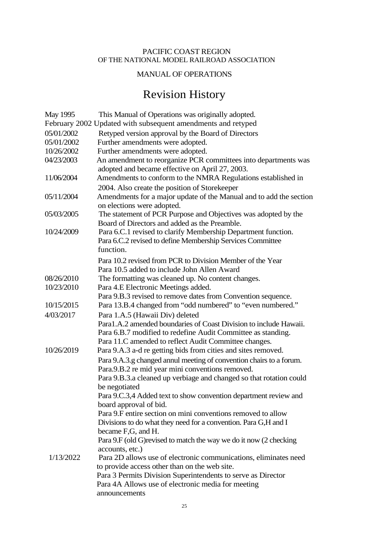#### PACIFIC COAST REGION OF THE NATIONAL MODEL RAILROAD ASSOCIATION

#### MANUAL OF OPERATIONS

# Revision History

| May 1995   | This Manual of Operations was originally adopted.                                                                 |
|------------|-------------------------------------------------------------------------------------------------------------------|
|            | February 2002 Updated with subsequent amendments and retyped                                                      |
| 05/01/2002 | Retyped version approval by the Board of Directors                                                                |
| 05/01/2002 | Further amendments were adopted.                                                                                  |
| 10/26/2002 | Further amendments were adopted.                                                                                  |
| 04/23/2003 | An amendment to reorganize PCR committees into departments was<br>adopted and became effective on April 27, 2003. |
| 11/06/2004 | Amendments to conform to the NMRA Regulations established in                                                      |
|            | 2004. Also create the position of Storekeeper                                                                     |
| 05/11/2004 | Amendments for a major update of the Manual and to add the section<br>on elections were adopted.                  |
| 05/03/2005 | The statement of PCR Purpose and Objectives was adopted by the<br>Board of Directors and added as the Preamble.   |
| 10/24/2009 | Para 6.C.1 revised to clarify Membership Department function.                                                     |
|            | Para 6.C.2 revised to define Membership Services Committee<br>function.                                           |
|            | Para 10.2 revised from PCR to Division Member of the Year                                                         |
|            | Para 10.5 added to include John Allen Award                                                                       |
| 08/26/2010 | The formatting was cleaned up. No content changes.                                                                |
| 10/23/2010 | Para 4.E Electronic Meetings added.                                                                               |
|            | Para 9.B.3 revised to remove dates from Convention sequence.                                                      |
| 10/15/2015 | Para 13.B.4 changed from "odd numbered" to "even numbered."                                                       |
| 4/03/2017  | Para 1.A.5 (Hawaii Div) deleted                                                                                   |
|            | Para1.A.2 amended boundaries of Coast Division to include Hawaii.                                                 |
|            | Para 6.B.7 modified to redefine Audit Committee as standing.                                                      |
|            | Para 11.C amended to reflect Audit Committee changes.                                                             |
| 10/26/2019 | Para 9.A.3 a-d re getting bids from cities and sites removed.                                                     |
|            | Para 9.A.3.g changed annul meeting of convention chairs to a forum.                                               |
|            | Para.9.B.2 re mid year mini conventions removed.                                                                  |
|            | Para 9.B.3.a cleaned up verbiage and changed so that rotation could<br>be negotiated                              |
|            | Para 9.C.3,4 Added text to show convention department review and                                                  |
|            | board approval of bid.                                                                                            |
|            | Para 9.F entire section on mini conventions removed to allow                                                      |
|            | Divisions to do what they need for a convention. Para G,H and I                                                   |
|            | became F,G, and H.                                                                                                |
|            | Para 9.F (old G) revised to match the way we do it now (2 checking                                                |
|            | accounts, etc.)                                                                                                   |
| 1/13/2022  | Para 2D allows use of electronic communications, eliminates need                                                  |
|            | to provide access other than on the web site.                                                                     |
|            | Para 3 Permits Division Superintendents to serve as Director                                                      |
|            | Para 4A Allows use of electronic media for meeting                                                                |
|            | announcements                                                                                                     |